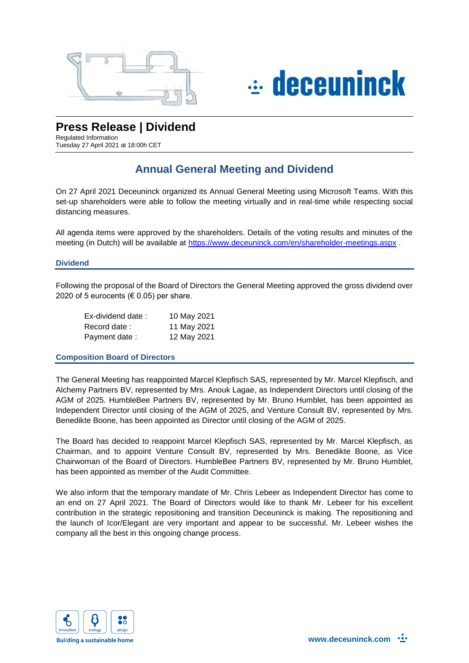



# **Press Release | Dividend**

Regulated Information Tuesday 27 April 2021 at 18:00h CET

# **Annual General Meeting and Dividend**

On 27 April 2021 Deceuninck organized its Annual General Meeting using Microsoft Teams. With this set-up shareholders were able to follow the meeting virtually and in real-time while respecting social distancing measures.

All agenda items were approved by the shareholders. Details of the voting results and minutes of the meeting (in Dutch) will be available at<https://www.deceuninck.com/en/shareholder-meetings.aspx> .

## **Dividend**

Following the proposal of the Board of Directors the General Meeting approved the gross dividend over 2020 of 5 eurocents ( $\in$  0.05) per share.

| Ex-dividend date: | 10 May 2021 |
|-------------------|-------------|
| Record date:      | 11 May 2021 |
| Payment date:     | 12 May 2021 |

### **Composition Board of Directors**

The General Meeting has reappointed Marcel Klepfisch SAS, represented by Mr. Marcel Klepfisch, and Alchemy Partners BV, represented by Mrs. Anouk Lagae, as Independent Directors until closing of the AGM of 2025. HumbleBee Partners BV, represented by Mr. Bruno Humblet, has been appointed as Independent Director until closing of the AGM of 2025, and Venture Consult BV, represented by Mrs. Benedikte Boone, has been appointed as Director until closing of the AGM of 2025.

The Board has decided to reappoint Marcel Klepfisch SAS, represented by Mr. Marcel Klepfisch, as Chairman, and to appoint Venture Consult BV, represented by Mrs. Benedikte Boone, as Vice Chairwoman of the Board of Directors. HumbleBee Partners BV, represented by Mr. Bruno Humblet, has been appointed as member of the Audit Committee.

We also inform that the temporary mandate of Mr. Chris Lebeer as Independent Director has come to an end on 27 April 2021. The Board of Directors would like to thank Mr. Lebeer for his excellent contribution in the strategic repositioning and transition Deceuninck is making. The repositioning and the launch of Icor/Elegant are very important and appear to be successful. Mr. Lebeer wishes the company all the best in this ongoing change process.